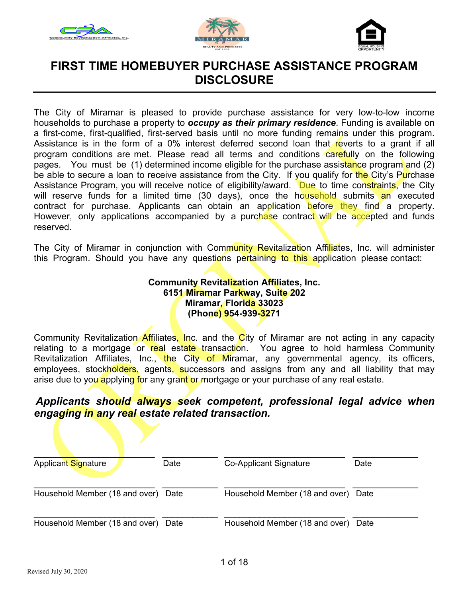





### **FIRST TIME HOMEBUYER PURCHASE ASSISTANCE PROGRAM DISCLOSURE**

The City of Miramar is pleased to provide purchase assistance for very low-to-low income households to purchase a property to *occupy as their primary residence*. Funding is available on a first-come, first-qualified, first-served basis until no more funding remains under this program. Assistance is in the form of a 0% interest deferred second loan that reverts to a grant if all program conditions are met. Please read all terms and conditions carefully on the following pages. You must be (1) determined income eligible for the purchase assistance program and (2) be able to secure a loan to receive assistance from the City. If you qualify for the City's Purchase Assistance Program, you will receive notice of eligibility/award. Due to time constraints, the City will reserve funds for a limited time (30 days), once the household submits an executed contract for purchase. Applicants can obtain an application before they find a property. However, only applications accompanied by a purchase contract will be accepted and funds reserved.

The City of Miramar in conjunction with Community Revitalization Affiliates, Inc. will administer this Program. Should you have any questions pertaining to this application please contact:

> **Community Revitalization Affiliates, Inc. 6151 Miramar Parkway, Suite 202 Miramar, Florida 33023 (Phone) 954-939-3271**

Community Revitalization Affiliates, Inc. and the City of Miramar are not acting in any capacity relating to a mortgage or real estate transaction. You agree to hold harmless Community Revitalization Affiliates, Inc., the City of Miramar, any governmental agency, its officers, employees, stockholders, agents, successors and assigns from any and all liability that may arise due to you applying for any grant or mortgage or your purchase of any real estate.

### *Applicants should always seek competent, professional legal advice when engaging in any real estate related transaction.*

| Applicant Signature            | Date | Co-Applicant Signature         | Date |
|--------------------------------|------|--------------------------------|------|
| Household Member (18 and over) | Date | Household Member (18 and over) | Date |
| Household Member (18 and over) | Date | Household Member (18 and over) | Date |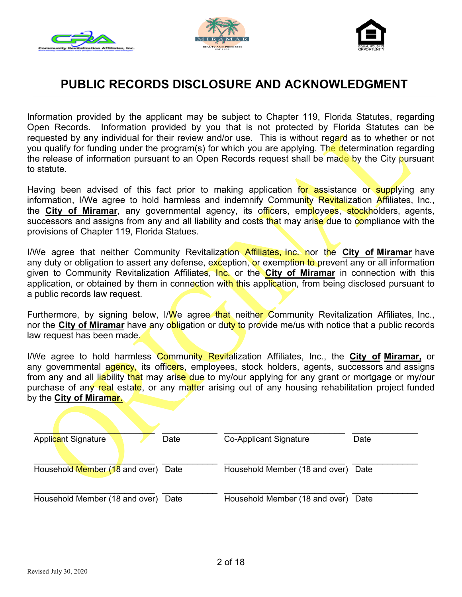





# **PUBLIC RECORDS DISCLOSURE AND ACKNOWLEDGMENT**

Information provided by the applicant may be subject to Chapter 119, Florida Statutes, regarding Open Records. Information provided by you that is not protected by Florida Statutes can be requested by any individual for their review and/or use. This is without regard as to whether or not you qualify for funding under the program(s) for which you are applying. The determination regarding the release of information pursuant to an Open Records request shall be made by the City pursuant to statute.

Having been advised of this fact prior to making application for assistance or supplying any information, I/We agree to hold harmless and indemnify Community Revitalization Affiliates, Inc., the **City of Miramar**, any governmental agency, its officers, employees, stockholders, agents, successors and assigns from any and all liability and costs that may arise due to compliance with the provisions of Chapter 119, Florida Statues.

I/We agree that neither Community Revitalization Affiliates, Inc. nor the **City of Miramar** have any duty or obligation to assert any defense, exception, or exemption to prevent any or all information given to Community Revitalization Affiliates, Inc. or the **City of Miramar** in connection with this application, or obtained by them in connection with this application, from being disclosed pursuant to a public records law request.

Furthermore, by signing below, I/We agree that neither Community Revitalization Affiliates, Inc., nor the **City of Miramar** have any obligation or duty to provide me/us with notice that a public records law request has been made.

I/We agree to hold harmless Community Revitalization Affiliates, Inc., the **City of Miramar,** or any governmental agency, its officers, employees, stock holders, agents, successors and assigns from any and all liability that may arise due to my/our applying for any grant or mortgage or my/our purchase of any real estate, or any matter arising out of any housing rehabilitation project funded by the **City of Miramar.** 

| Applicant Signature<br>Date            | <b>Co-Applicant Signature</b>       | Date |
|----------------------------------------|-------------------------------------|------|
| Household Member (18 and over) Date    | Household Member (18 and over) Date |      |
| Household Member (18 and over)<br>Date | Household Member (18 and over)      | Date |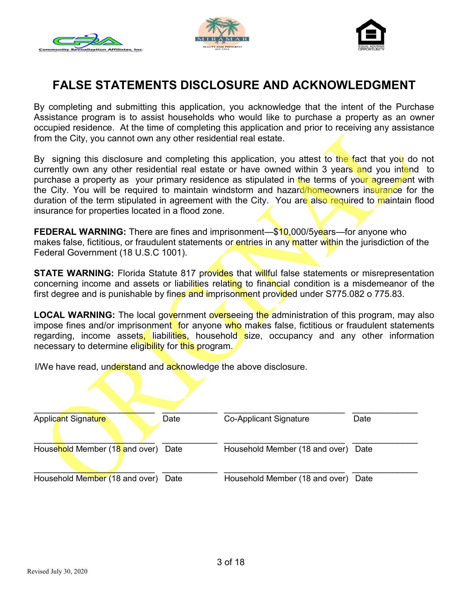





# **FALSE STATEMENTS DISCLOSURE AND ACKNOWLEDGMENT**

By completing and submitting this application, you acknowledge that the intent of the Purchase Assistance program is to assist households who would like to purchase a property as an owner occupied residence. At the time of completing this application and prior to receiving any assistance from the City, you cannot own any other residential real estate.

By signing this disclosure and completing this application, you attest to the fact that you do not currently own any other residential real estate or have owned within 3 years and you intend to purchase a property as your primary residence as stipulated in the terms of your agreement with the City. You will be required to maintain windstorm and hazard/homeowners insurance for the duration of the term stipulated in agreement with the City. You are also required to maintain flood insurance for properties located in a flood zone.

**FEDERAL WARNING:** There are fines and imprisonment—\$10,000/5years—for anyone who makes false, fictitious, or fraudulent statements or entries in any matter within the jurisdiction of the Federal Government (18 U.S.C 1001).

**STATE WARNING:** Florida Statute 817 provides that willful false statements or misrepresentation concerning income and assets or liabilities relating to financial condition is a misdemeanor of the first degree and is punishable by fines and imprisonment provided under S775.082 o 775.83.

**LOCAL WARNING:** The local government overseeing the administration of this program, may also impose fines and/or imprisonment for anyone who makes false, fictitious or fraudulent statements regarding, income assets, liabilities, household size, occupancy and any other information necessary to determine eligibility for this program.

I/We have read, understand and acknowledge the above disclosure.

| <b>Applicant Signature</b>     | Date | <b>Co-Applicant Signature</b>  | Date |
|--------------------------------|------|--------------------------------|------|
| Household Member (18 and over) | Date | Household Member (18 and over) | Date |
| Household Member (18 and over) | Date | Household Member (18 and over) | Date |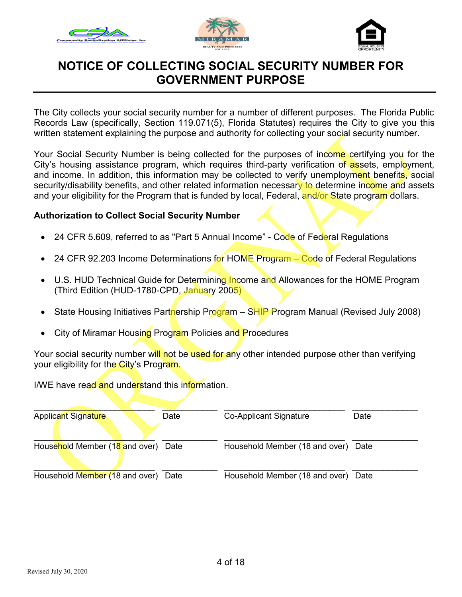





## **NOTICE OF COLLECTING SOCIAL SECURITY NUMBER FOR GOVERNMENT PURPOSE**

 The City collects your social security number for a number of different purposes. The Florida Public Records Law (specifically, Section 119.071(5), Florida Statutes) requires the City to give you this written statement explaining the purpose and authority for collecting your social security number.

Your Social Security Number is being collected for the purposes of income certifying you for the City's housing assistance program, which requires third-party verification o<mark>f as</mark>sets, empl<mark>o</mark>yment, and income. In addition, this information may be collected to verify unemploym<mark>ent</mark> benefit<mark>s,</mark> social security/disability benefits, and other related information necessar<mark>y to d</mark>etermine inc<mark>ome an</mark>d assets and your eligibility for the Program that is funded by local, Federal, <mark>and/or St</mark>ate progr<mark>am</mark> dollars.

### **Authorization to Collect Social Security Number**

- 24 CFR 5.609, referred to as "Part 5 Annual Income" Code of Federal Regulations
- 24 CFR 92.203 Income Determinations for HOME Program Code of Federal Regulations
- U.S. HUD Technical Guide for Determining Income and Allowances for the HOME Program (Third Edition (HUD-1780-CPD, January 2005)
- State Housing Initiatives Part<mark>n</mark>ership Program SHIP Program Manual (Revised July 2008)
- City of Miramar Housing Program Policies and Procedures

Your social security number will not be used for any other intended purpose other than verifying your eligibility for the City's Program.

I/WE have read and understand this information.

| <b>Applicant Signature</b>     | Date | <b>Co-Applicant Signature</b>  | Date |
|--------------------------------|------|--------------------------------|------|
| Household Member (18 and over) | Date | Household Member (18 and over) | Date |
| Household Member (18 and over) | Date | Household Member (18 and over) | Date |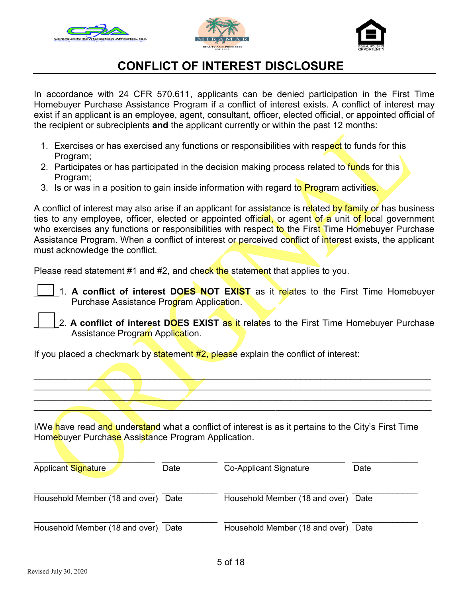





# **CONFLICT OF INTEREST DISCLOSURE**

In accordance with 24 CFR 570.611, applicants can be denied participation in the First Time Homebuyer Purchase Assistance Program if a conflict of interest exists. A conflict of interest may exist if an applicant is an employee, agent, consultant, officer, elected official, or appointed official of the recipient or subrecipients **and** the applicant currently or within the past 12 months:

- 1. Exercises or has exercised any functions or responsibilities with respect to funds for this Program;
- 2. Participates or has participated in the decision making process related to funds for this Program;
- 3. Is or was in a position to gain inside information with regard to **Program** activities.

A conflict of interest may also arise if an applicant for assistance is related by family or has business ties to any employee, officer, elected or appointed official, or agent of a unit of local government who exercises any functions or responsibilities with respect to the First Time Homebuyer Purchase Assistance Program. When a conflict of interest or perceived conflict of interest exists, the applicant must acknowledge the conflict.

Please read statement #1 and #2, and check the statement that applies to you.

- 1. **A conflict of interest DOES NOT EXIST** as it relates to the First Time Homebuyer Purchase Assistance Program Application.
- 2. **A conflict of interest DOES EXIST** as it relates to the First Time Homebuyer Purchase Assistance Program Application.

If you placed a checkmark by statement  $#2$ , please explain the conflict of interest:

I/We have read and understand what a conflict of interest is as it pertains to the City's First Time Homebuyer Purchase Assistance Program Application.

 $\mathcal{L}_\mathcal{L}$  , and the set of the set of the set of the set of the set of the set of the set of the set of the set of the set of the set of the set of the set of the set of the set of the set of the set of the set of th  $\mathcal{L} = \{ \mathcal{L} \mid \mathcal{L} \in \mathcal{L} \}$  , where  $\mathcal{L} = \{ \mathcal{L} \mid \mathcal{L} \in \mathcal{L} \}$  , where  $\mathcal{L} = \{ \mathcal{L} \mid \mathcal{L} \in \mathcal{L} \}$  $\mathcal{L} = \{ \mathcal{L} \mid \mathcal{L} \in \mathcal{L} \}$  , where  $\mathcal{L} = \{ \mathcal{L} \mid \mathcal{L} \in \mathcal{L} \}$  , where  $\mathcal{L} = \{ \mathcal{L} \mid \mathcal{L} \in \mathcal{L} \}$  $\mathcal{L} = \{ \mathcal{L} \mid \mathcal{L} \in \mathcal{L} \}$  , where  $\mathcal{L} = \{ \mathcal{L} \mid \mathcal{L} \in \mathcal{L} \}$  , where  $\mathcal{L} = \{ \mathcal{L} \mid \mathcal{L} \in \mathcal{L} \}$ 

| <b>Applicant Signature</b>     | Date | <b>Co-Applicant Signature</b>  | Date |
|--------------------------------|------|--------------------------------|------|
| Household Member (18 and over) | Date | Household Member (18 and over) | Date |
| Household Member (18 and over) | Date | Household Member (18 and over) | Date |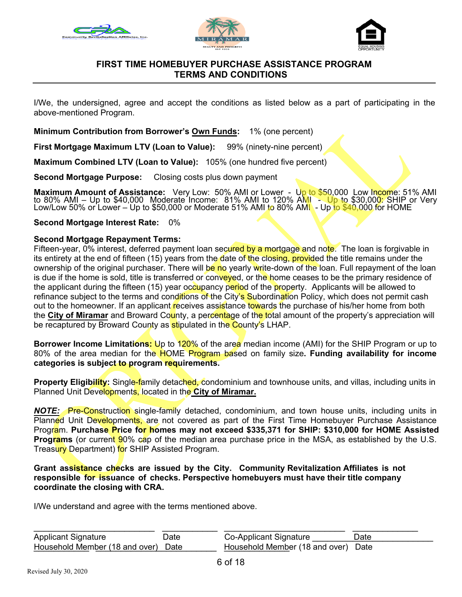





### **FIRST TIME HOMEBUYER PURCHASE ASSISTANCE PROGRAM TERMS AND CONDITIONS**

I/We, the undersigned, agree and accept the conditions as listed below as a part of participating in the above-mentioned Program.

**Minimum Contribution from Borrower's Own Funds:** 1% (one percent)

**First Mortgage Maximum LTV (Loan to Value):** 99% (ninety-nine percent)

**Maximum Combined LTV (Loan to Value):** 105% (one hundred five percent)

**Second Mortgage Purpose:** Closing costs plus down payment

**Maximum Amount of Assistance:** Very Low: 50% AMI or Lower - Up to \$50,000 Low Income: 51% AMI to 80% AMI – Up to \$40,000 Moderate Income: 81% AMI to 120% A<mark>MI - Up to</mark> \$30,00<mark>0:</mark> SHIP or Very<br>Low/Low 50% or Lower – Up to \$50,000 or Moderate 51% AMI to 80% AMI - Up to \$40,000 for HOME

**Second Mortgage Interest Rate:** 0%

#### **Second Mortgage Repayment Terms:**

Fifteen-year, 0% interest, deferred payment loan secured by a mortgage and note. The loan is forgivable in its entirety at the end of fifteen (15) years from the date of the closing, provided the title remains under the ownership of the original purchaser. There will be no yearly write-down of the loan. Full repayment of the loan is due if the home is sold, title is transferred or conveyed, or the home ceases to be the primary residence of the applicant during the fifteen (15) year occupancy period of the property. Applicants will be allowed to refinance subject to the terms and conditions of the City's Subordination Policy, which does not permit cash out to the homeowner. If an applicant receives assistance towards the purchase of his/her home from both the **City of Miramar** and Broward County, a percentage of the total amount of the property's appreciation will be recaptured by Broward County as **sti**pulated in the County's LHAP.

**Borrower Income Limitations:** Up to 120% of the area median income (AMI) for the SHIP Program or up to 80% of the area median for the HOME Program based on family size**. Funding availability for income categories is subject to program requirements.** 

**Property Eligibility:** Single-family detached, condominium and townhouse units, and villas, including units in Planned Unit Developments, located in the **City of Miramar.** 

*NOTE:* Pre-Construction single-family detached, condominium, and town house units, including units in Planned Unit Developments, are not covered as part of the First Time Homebuyer Purchase Assistance Program. **Purchase Price for homes may not exceed \$335,371 for SHIP: \$310,000 for HOME Assisted Programs** (or current 90% cap of the median area purchase price in the MSA, as established by the U.S. Treasury Department) for SHIP Assisted Program.

#### **Grant assistance checks are issued by the City. Community Revitalization Affiliates is not responsible for issuance of checks. Perspective homebuyers must have their title company coordinate the closing with CRA.**

I/We understand and agree with the terms mentioned above.

| <b>Applicant Signature</b>          | Date | Co-Applicant Signature              | Date |
|-------------------------------------|------|-------------------------------------|------|
| Household Member (18 and over) Date |      | Household Member (18 and over) Date |      |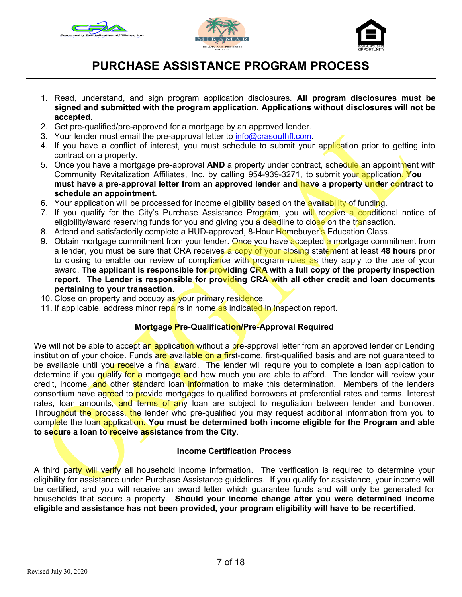





# **PURCHASE ASSISTANCE PROGRAM PROCESS**

- 1. Read, understand, and sign program application disclosures. **All program disclosures must be signed and submitted with the program application. Applications without disclosures will not be accepted.**
- 2. Get pre-qualified/pre-approved for a mortgage by an approved lender.
- 3. Your lender must email the pre-approval letter to [info@crasouthfl.com](mailto:PA@CRAFLA.ORG).
- 4. If you have a conflict of interest, you must schedule to submit your application prior to getting into contract on a property.
- Community Revitalization Affiliates, Inc. by calling 954-939-3271, to submit your application. **You**  5. Once you have a mortgage pre-approval **AND** a property under contract, schedule an appointment with **must have a pre-approval letter from an approved lender and have a property under contract to schedule an appointment.**
- 6. Your application will be processed for income eligibility based on the availability of funding.
- 7. If you qualify for the City's Purchase Assistance Program, you will receive a conditional notice of eligibility/award reserving funds for you and giving you a deadline to close on the transaction.
- 8. Attend and satisfactorily complete a HUD-approved, 8-Hour Homebuyer's Education Class.
- 9. Obtain mortgage commitment from your lender. Once you have accepted a mortgage commitment from a lender, you must be sure that CRA receives a copy of your closing statement at least **48 hours** prior to closing to enable our review of compliance with program rules as they apply to the use of your award. **The applicant is responsible for providing CRA with a full copy of the property inspection report. The Lender is responsible for providing CRA with all other credit and loan documents pertaining to your transaction.**
- 10. Close on property and occupy as your primary residence.
- 11. If applicable, address minor repairs in home as indicated in inspection report.

### **Mortgage Pre-Qualification/Pre-Approval Required**

We will not be able to accept an application without a pre-approval letter from an approved lender or Lending institution of your choice. Funds are available on a first-come, first-qualified basis and are not guaranteed to be available until you receive a final award. The lender will require you to complete a loan application to determine if you qualify for a mortgage and how much you are able to afford. The lender will review your credit, income, and other standard loan information to make this determination. Members of the lenders consortium have agreed to provide mortgages to qualified borrowers at preferential rates and terms. Interest rates, loan amounts, and terms of any loan are subject to negotiation between lender and borrower. Throughout the process, the lender who pre-qualified you may request additional information from you to complete the loan application. **You must be determined both income eligible for the Program and able to secure a loan to receive assistance from the City**.

### **Income Certification Process**

A third party will verify all household income information. The verification is required to determine your eligibility for assistance under Purchase Assistance guidelines. If you qualify for assistance, your income will be certified, and you will receive an award letter which guarantee funds and will only be generated for households that secure a property. **Should your income change after you were determined income eligible and assistance has not been provided, your program eligibility will have to be recertified.**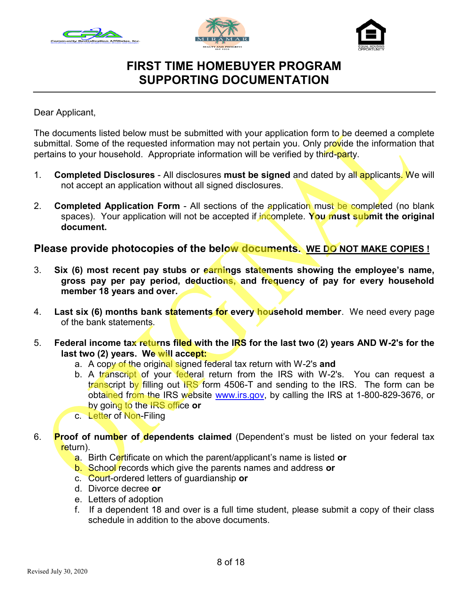





### **FIRST TIME HOMEBUYER PROGRAM SUPPORTING DOCUMENTATION**

Dear Applicant,

The documents listed below must be submitted with your application form to be deemed a complete submittal. Some of the requested information may not pertain you. Only provide the information that pertains to your household. Appropriate information will be verified by third-party.

- 1. **Completed Disclosures**  All disclosures **must be signed** and dated by all applicants. We will not accept an application without all signed disclosures.
- 2. **Completed Application Form**  All sections of the application must be completed (no blank spaces). Your application will not be accepted if incomplete. **You must submit the original document.**

### **Please provide photocopies of the below documents. WE DO NOT MAKE COPIES !**

- 3. **Six (6) most recent pay stubs or earnings statements showing the employee's name, gross pay per pay period, deductions, and frequency of pay for every household member 18 years and over.**
- 4. **Last six (6) months bank statements for every household member**. We need every page of the bank statements.
- 5. **Federal income tax returns filed with the IRS for the last two (2) years AND W-2's for the last two (2) years. We will accept:** 
	- a. A copy of the original signed federal tax return with W-2's **and**
	- b. A transcript of your federal return from the IRS with W-2's. You can request a transcript by filling out IRS form 4506-T and sending to the IRS. The form can be obtained from the IRS website [www.irs.gov,](http://www.irs.gov) by calling the IRS at 1-800-829-3676, or by going to the IRS office **or**
	- c. Letter of Non-Filing
- 6. **Proof of number of dependents claimed** (Dependent's must be listed on your federal tax return).
	- a. Birth Certificate on which the parent/applicant's name is listed **or**
	- b. School records which give the parents names and address **or**
	- c. Court-ordered letters of guardianship **or**
	- d. Divorce decree **or**
	- e. Letters of adoption
	- f. If a dependent 18 and over is a full time student, please submit a copy of their class schedule in addition to the above documents.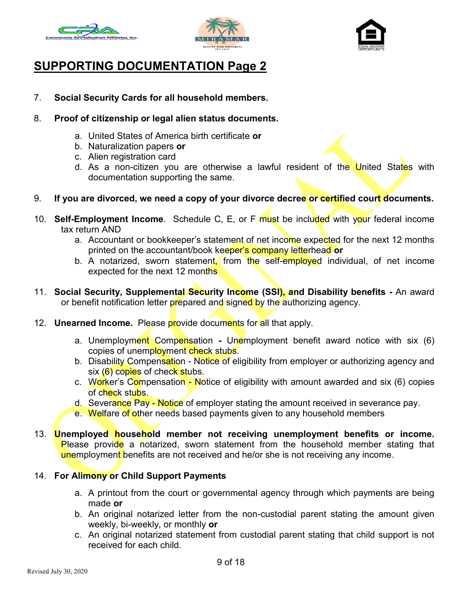





# **SUPPORTING DOCUMENTATION Page 2**

- 7. **Social Security Cards for all household members.**
- 8. **Proof of citizenship or legal alien status documents.** 
	- a. United States of America birth certificate **or**
	- b. Naturalization papers **or**
	- c. Alien registration card
	- d. As a non-citizen you are otherwise a lawful resident of the United States with documentation supporting the same.
- 9. **If you are divorced, we need a copy of your divorce decree or certified court documents.**
- 10. **Self-Employment Income**. Schedule C, E, or F must be included with your federal income tax return AND
	- a. Accountant or bookkeeper's statement of net income expe<mark>ct</mark>ed for the next 12 months printed on the accountant/book keeper's company letterhead **or**
	- b. A notarized, sworn statement<mark>, from the self-employe</mark>d individual, of net income expected for the next 12 months
- 11. **Social Security, Supplemental Security Income (SSI), and Disability benefits -** An award or benefit notification letter p<mark>r</mark>epared and signe<mark>d b</mark>y the authorizing agency.
- 12. **Unearned Income.** Please provide documents for all that apply.
	- a. Unemployment Compensation **-** Unemployment benefit award notice with six (6) copies of unemployment check stubs.
	- b. Disability Compen<mark>sati</mark>on Notice of eligibility from employer or authorizing agency and six (6) copies of check stubs.
	- c. W<mark>or</mark>ker's C<mark>om</mark>pensation Notice of eligibility with amount awarded and six (6) copies of check stubs.
	- d. Sever<mark>ance Pay Notice</mark> of employer stating the amount received in severance pay.
	- e. Welfare of other needs based payments given to any household members
- 13. **Unemployed household member not receiving unemployment benefits or income.**  <mark>P</mark>lease provi<mark>de</mark> a notarized, sworn statement from the household member stating that unemployment benefits are not received and he/or she is not receiving any income.

### 14. **For Alimony or Child Support Payments**

- a. A printout from the court or governmental agency through which payments are being made **or**
- b. An original notarized letter from the non-custodial parent stating the amount given weekly, bi-weekly, or monthly **or**
- c. An original notarized statement from custodial parent stating that child support is not received for each child.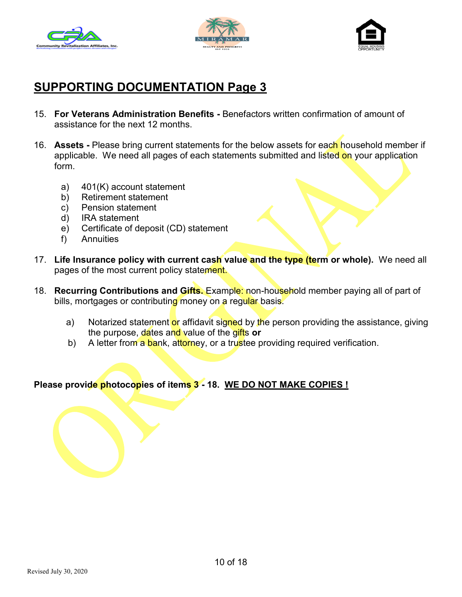





## **SUPPORTING DOCUMENTATION Page 3**

- 15. **For Veterans Administration Benefits -** Benefactors written confirmation of amount of assistance for the next 12 months.
- 16. **Assets -** Please bring current statements for the below assets for each household member if applicable. We need all pages of each statements submitted and listed on your application form.
	- a) 401(K) account statement
	- b) Retirement statement
	- c) Pension statement
	- d) IRA statement
	- e) Certificate of deposit (CD) statement
	- f) Annuities
- 17. **Life Insurance policy with current cash value and the type (term or whole).** We need all pages of the most current policy statement.
- 18. **Recurring Contributions and Gifts.** Example: non-household member paying all of part of bills, mortgages or contributing money on a regular basis.
	- a) Notarized statement <mark>or</mark> affidavit si<mark>gne</mark>d by the person providing the assistance, giving the purpose, dates and value of the gifts **or**
	- b) A letter from a bank, attorney, or a trustee providing required verification.

**Please provide photocopies of items 3 - 18. WE DO NOT MAKE COPIES !**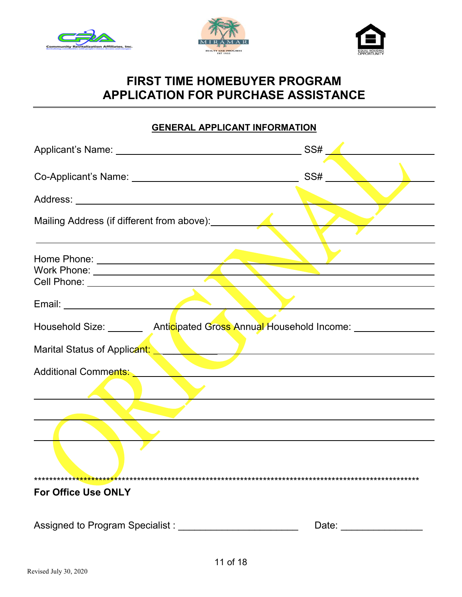





## **FIRST TIME HOMEBUYER PROGRAM APPLICATION FOR PURCHASE ASSISTANCE**

### **GENERAL APPLICANT INFORMATION**

|                                                                                                                                                                                                                               | SS#                                             |
|-------------------------------------------------------------------------------------------------------------------------------------------------------------------------------------------------------------------------------|-------------------------------------------------|
| Co-Applicant's Name: <u>Co-Applicant's Name:</u> Co-Applicant's Name: 1998.                                                                                                                                                   |                                                 |
|                                                                                                                                                                                                                               |                                                 |
| Mailing Address (if different from above): <u>Cambridge Contract Contract Contract Contract Contract Contract Contr</u>                                                                                                       |                                                 |
|                                                                                                                                                                                                                               |                                                 |
|                                                                                                                                                                                                                               |                                                 |
| Work Phone: New York District of the Contract of the Contract of the Contract of the Contract of the Contract of the Contract of the Contract of the Contract of the Contract of the Contract of the Contract of the Contract |                                                 |
|                                                                                                                                                                                                                               |                                                 |
| Email: <u>Alexander and the second service</u> and the service of the service of the series of the series of the series                                                                                                       | <u> 1989 - Andrea Station Barbara (h. 1989)</u> |
| Household Size: _________ Anticipated Gross Annual Household Income: ____________                                                                                                                                             |                                                 |
| Marital Status of Applicant:                                                                                                                                                                                                  |                                                 |
|                                                                                                                                                                                                                               |                                                 |
|                                                                                                                                                                                                                               |                                                 |
|                                                                                                                                                                                                                               |                                                 |
|                                                                                                                                                                                                                               |                                                 |
|                                                                                                                                                                                                                               |                                                 |
| <b>For Office Use ONLY</b>                                                                                                                                                                                                    |                                                 |
| Assigned to Program Specialist : __________                                                                                                                                                                                   | Date: _______                                   |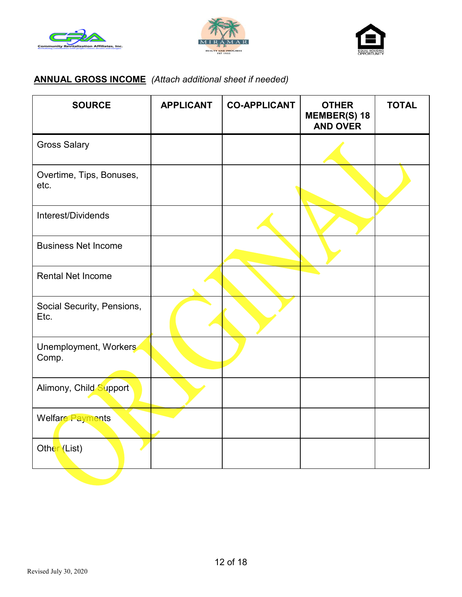





# **ANNUAL GROSS INCOME** *(Attach additional sheet if needed)*

| <b>SOURCE</b>                      | <b>APPLICANT</b> | <b>CO-APPLICANT</b> | <b>OTHER</b><br><b>MEMBER(S) 18</b><br><b>AND OVER</b> | <b>TOTAL</b> |
|------------------------------------|------------------|---------------------|--------------------------------------------------------|--------------|
| <b>Gross Salary</b>                |                  |                     |                                                        |              |
| Overtime, Tips, Bonuses,<br>etc.   |                  |                     |                                                        |              |
| Interest/Dividends                 |                  |                     |                                                        |              |
| <b>Business Net Income</b>         |                  |                     |                                                        |              |
| <b>Rental Net Income</b>           |                  |                     |                                                        |              |
| Social Security, Pensions,<br>Etc. |                  |                     |                                                        |              |
| Unemployment, Workers<br>Comp.     |                  |                     |                                                        |              |
| Alimony, Child Support             |                  |                     |                                                        |              |
| Welfare Payments                   |                  |                     |                                                        |              |
| Other (List)                       |                  |                     |                                                        |              |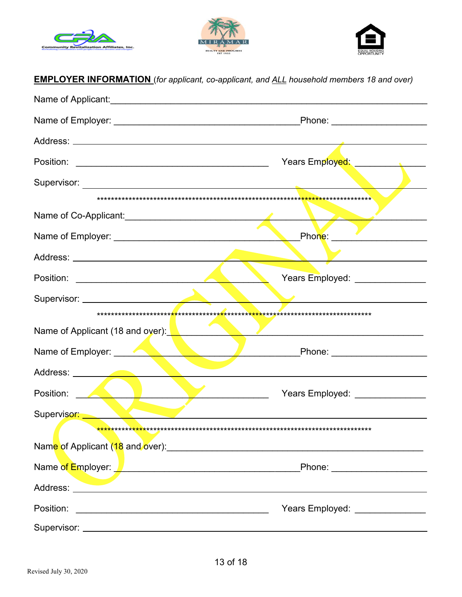





| <b>EMPLOYER INFORMATION</b> (for applicant, co-applicant, and ALL household members 18 and over)                                     |                                  |
|--------------------------------------------------------------------------------------------------------------------------------------|----------------------------------|
|                                                                                                                                      |                                  |
|                                                                                                                                      |                                  |
|                                                                                                                                      |                                  |
|                                                                                                                                      |                                  |
|                                                                                                                                      |                                  |
|                                                                                                                                      |                                  |
|                                                                                                                                      |                                  |
|                                                                                                                                      |                                  |
|                                                                                                                                      |                                  |
|                                                                                                                                      | Years Employed: ________________ |
|                                                                                                                                      |                                  |
|                                                                                                                                      |                                  |
| Name of Applicant (18 and over): New York Manuson Contractor                                                                         |                                  |
|                                                                                                                                      |                                  |
|                                                                                                                                      |                                  |
| Position:                                                                                                                            | Years Employed: _______________  |
| Supervisor:<br><u> De la Company de la Company de la Company de la Company de la Company de la Company de la Company de la Compa</u> |                                  |
|                                                                                                                                      |                                  |
|                                                                                                                                      |                                  |
| Name of Employer: <u>Andrew American American State of Employer</u>                                                                  | _Phone: ______________________   |
|                                                                                                                                      |                                  |
| Position:<br><u> 1989 - Johann John Stone, mars et al. (</u>                                                                         | Years Employed: _______________  |
|                                                                                                                                      |                                  |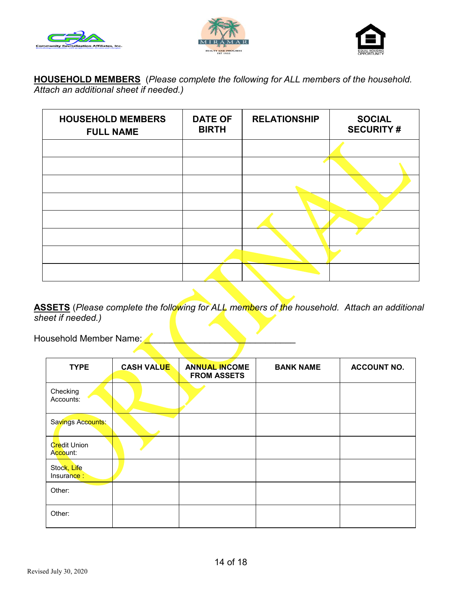





**HOUSEHOLD MEMBERS** (*Please complete the following for ALL members of the household. Attach an additional sheet if needed.)* 

| <b>HOUSEHOLD MEMBERS</b><br><b>FULL NAME</b> | <b>DATE OF</b><br><b>BIRTH</b> | <b>RELATIONSHIP</b> | <b>SOCIAL</b><br><b>SECURITY#</b> |
|----------------------------------------------|--------------------------------|---------------------|-----------------------------------|
|                                              |                                |                     |                                   |
|                                              |                                |                     |                                   |
|                                              |                                |                     |                                   |
|                                              |                                |                     |                                   |
|                                              |                                |                     |                                   |
|                                              |                                |                     |                                   |
|                                              |                                |                     |                                   |
|                                              |                                |                     |                                   |

**ASSETS** (*Please complete the following for ALL members of the household. Attach an additional sheet if needed.)* 

Household Member Name:

| <b>TYPE</b>                     | <b>CASH VALUE</b> | <b>ANNUAL INCOME</b><br><b>FROM ASSETS</b> | <b>BANK NAME</b> | <b>ACCOUNT NO.</b> |
|---------------------------------|-------------------|--------------------------------------------|------------------|--------------------|
| Checking<br>Accounts:           |                   |                                            |                  |                    |
| Savings Accounts:               |                   |                                            |                  |                    |
| <b>Credit Union</b><br>Account: |                   |                                            |                  |                    |
| Stock, Life<br>Insurance:       |                   |                                            |                  |                    |
| Other:                          |                   |                                            |                  |                    |
| Other:                          |                   |                                            |                  |                    |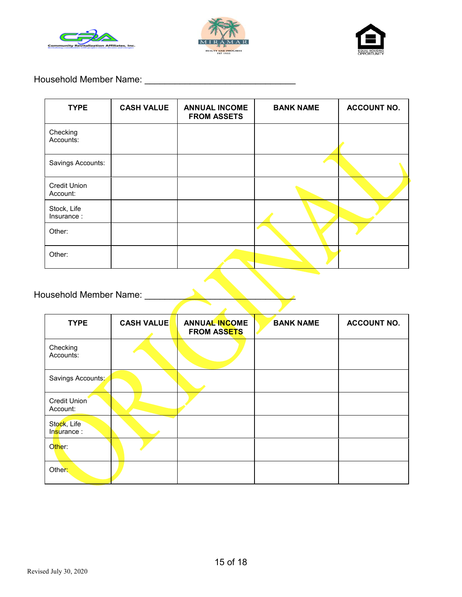





### Household Member Name: \_\_\_\_\_\_\_\_\_\_\_\_\_\_\_\_\_\_\_\_\_\_\_\_\_\_\_\_\_\_

| <b>TYPE</b>                     | <b>CASH VALUE</b> | <b>ANNUAL INCOME</b><br><b>FROM ASSETS</b> | <b>BANK NAME</b> | <b>ACCOUNT NO.</b> |
|---------------------------------|-------------------|--------------------------------------------|------------------|--------------------|
| Checking<br>Accounts:           |                   |                                            |                  |                    |
| Savings Accounts:               |                   |                                            |                  |                    |
| <b>Credit Union</b><br>Account: |                   |                                            |                  |                    |
| Stock, Life<br>Insurance:       |                   |                                            |                  |                    |
| Other:                          |                   |                                            |                  |                    |
| Other:                          |                   |                                            |                  |                    |

# Household Member Name: \_\_\_\_

| <b>TYPE</b>                | <b>CASH VALUE</b> | <b>ANNUAL INCOME</b><br><b>FROM ASSETS</b> | <b>BANK NAME</b> | <b>ACCOUNT NO.</b> |
|----------------------------|-------------------|--------------------------------------------|------------------|--------------------|
| Checking<br>Accounts:      |                   |                                            |                  |                    |
| Savings Accounts:          |                   |                                            |                  |                    |
| Credit Union<br>Account:   |                   |                                            |                  |                    |
| Stock, Life<br>Insurance : |                   |                                            |                  |                    |
| Other:                     |                   |                                            |                  |                    |
| Other:                     |                   |                                            |                  |                    |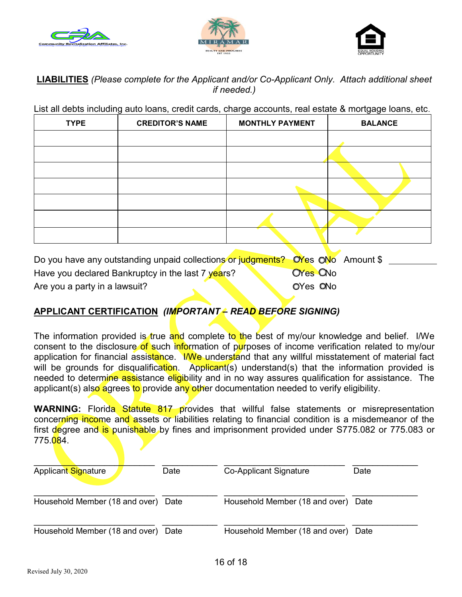





### **LIABILITIES** *(Please complete for the Applicant and/or Co-Applicant Only. Attach additional sheet if needed.)*

List all debts including auto loans, credit cards, charge accounts, real estate & mortgage loans, etc.

| <b>TYPE</b> | <b>CREDITOR'S NAME</b> | <b>MONTHLY PAYMENT</b> | <b>BALANCE</b> |
|-------------|------------------------|------------------------|----------------|
|             |                        |                        |                |
|             |                        |                        |                |
|             |                        |                        |                |
|             |                        |                        |                |
|             |                        |                        |                |
|             |                        |                        |                |
|             |                        |                        |                |
|             |                        |                        |                |

Do you have any outstanding unpaid collections or judgments? OYes ONo Amount \$ Have you declared Bankruptcy in the last 7 years? Are you a party in a lawsuit? **OYes CNo** OYes ONo

### **APPLICANT CERTIFICATION** *(IMPORTANT – READ BEFORE SIGNING)*

The information provided is true and complete to the best of my/our knowledge and belief. I/We consent to the disclosure of such information of purposes of income verification related to my/our application for financial assistance. I/We understand that any willful misstatement of material fact will be grounds for disqualification. Applicant(s) understand(s) that the information provided is needed to determine assistance eligibility and in no way assures qualification for assistance. The applicant(s) also agrees to provide any other documentation needed to verify eligibility.

WARNING: Florida Statute 817 provides that willful false statements or misrepresentation concerning income and assets or liabilities relating to financial condition is a misdemeanor of the first degree and is punishable by fines and imprisonment provided under S775.082 or 775.083 or 775.084.

| Applicant Signature                 | Date | Co-Applicant Signature              | Date |
|-------------------------------------|------|-------------------------------------|------|
| Household Member (18 and over) Date |      | Household Member (18 and over) Date |      |
| Household Member (18 and over) Date |      | Household Member (18 and over)      | Date |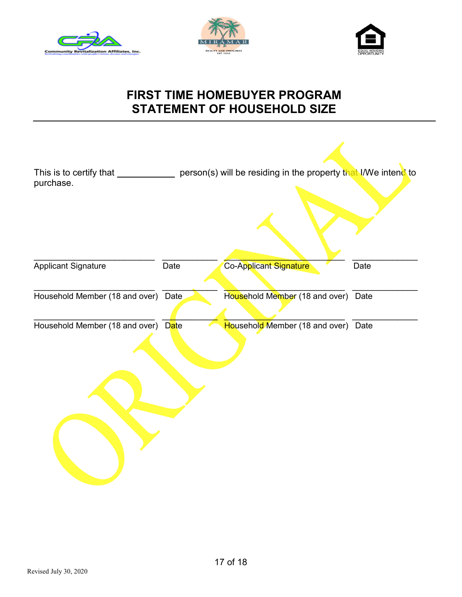





# **FIRST TIME HOMEBUYER PROGRAM STATEMENT OF HOUSEHOLD SIZE**

| purchase.                           | This is to certify that _______________ person(s) will be residing in the property that I/We intend to |                                     |      |
|-------------------------------------|--------------------------------------------------------------------------------------------------------|-------------------------------------|------|
|                                     |                                                                                                        |                                     |      |
| <b>Applicant Signature</b>          | Date                                                                                                   | Co-Applicant Signature              | Date |
| Household Member (18 and over) Date |                                                                                                        | Household Member (18 and over) Date |      |
| Household Member (18 and over) Date |                                                                                                        | Household Member (18 and over) Date |      |